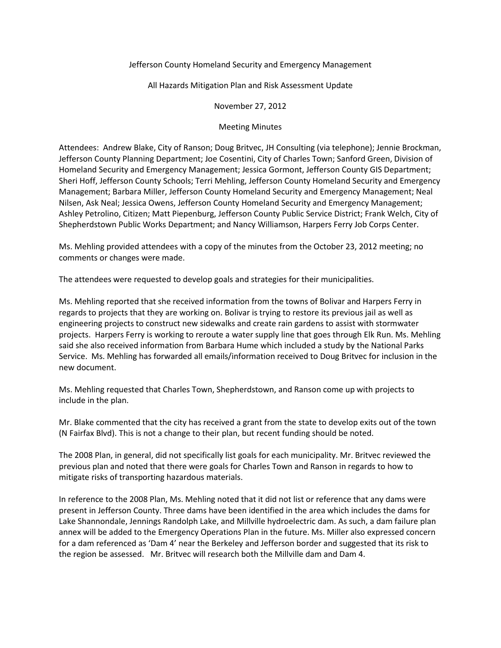## Jefferson County Homeland Security and Emergency Management

## All Hazards Mitigation Plan and Risk Assessment Update

November 27, 2012

## Meeting Minutes

Attendees: Andrew Blake, City of Ranson; Doug Britvec, JH Consulting (via telephone); Jennie Brockman, Jefferson County Planning Department; Joe Cosentini, City of Charles Town; Sanford Green, Division of Homeland Security and Emergency Management; Jessica Gormont, Jefferson County GIS Department; Sheri Hoff, Jefferson County Schools; Terri Mehling, Jefferson County Homeland Security and Emergency Management; Barbara Miller, Jefferson County Homeland Security and Emergency Management; Neal Nilsen, Ask Neal; Jessica Owens, Jefferson County Homeland Security and Emergency Management; Ashley Petrolino, Citizen; Matt Piepenburg, Jefferson County Public Service District; Frank Welch, City of Shepherdstown Public Works Department; and Nancy Williamson, Harpers Ferry Job Corps Center.

Ms. Mehling provided attendees with a copy of the minutes from the October 23, 2012 meeting; no comments or changes were made.

The attendees were requested to develop goals and strategies for their municipalities.

Ms. Mehling reported that she received information from the towns of Bolivar and Harpers Ferry in regards to projects that they are working on. Bolivar is trying to restore its previous jail as well as engineering projects to construct new sidewalks and create rain gardens to assist with stormwater projects. Harpers Ferry is working to reroute a water supply line that goes through Elk Run. Ms. Mehling said she also received information from Barbara Hume which included a study by the National Parks Service. Ms. Mehling has forwarded all emails/information received to Doug Britvec for inclusion in the new document.

Ms. Mehling requested that Charles Town, Shepherdstown, and Ranson come up with projects to include in the plan.

Mr. Blake commented that the city has received a grant from the state to develop exits out of the town (N Fairfax Blvd). This is not a change to their plan, but recent funding should be noted.

The 2008 Plan, in general, did not specifically list goals for each municipality. Mr. Britvec reviewed the previous plan and noted that there were goals for Charles Town and Ranson in regards to how to mitigate risks of transporting hazardous materials.

In reference to the 2008 Plan, Ms. Mehling noted that it did not list or reference that any dams were present in Jefferson County. Three dams have been identified in the area which includes the dams for Lake Shannondale, Jennings Randolph Lake, and Millville hydroelectric dam. As such, a dam failure plan annex will be added to the Emergency Operations Plan in the future. Ms. Miller also expressed concern for a dam referenced as 'Dam 4' near the Berkeley and Jefferson border and suggested that its risk to the region be assessed. Mr. Britvec will research both the Millville dam and Dam 4.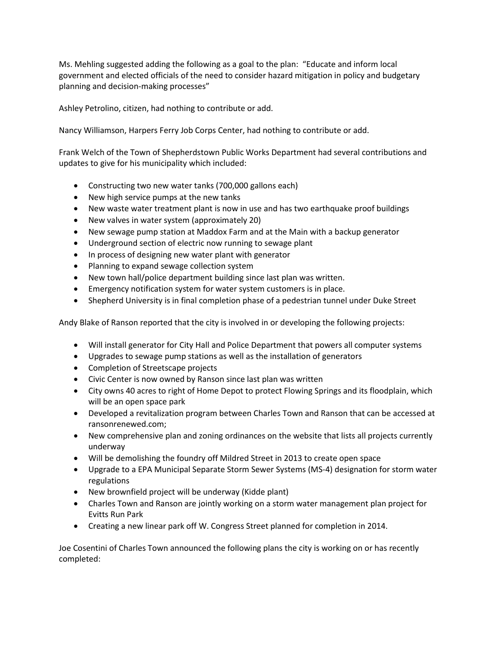Ms. Mehling suggested adding the following as a goal to the plan: "Educate and inform local government and elected officials of the need to consider hazard mitigation in policy and budgetary planning and decision-making processes"

Ashley Petrolino, citizen, had nothing to contribute or add.

Nancy Williamson, Harpers Ferry Job Corps Center, had nothing to contribute or add.

Frank Welch of the Town of Shepherdstown Public Works Department had several contributions and updates to give for his municipality which included:

- Constructing two new water tanks (700,000 gallons each)
- New high service pumps at the new tanks
- New waste water treatment plant is now in use and has two earthquake proof buildings
- New valves in water system (approximately 20)
- New sewage pump station at Maddox Farm and at the Main with a backup generator
- Underground section of electric now running to sewage plant
- In process of designing new water plant with generator
- Planning to expand sewage collection system
- New town hall/police department building since last plan was written.
- Emergency notification system for water system customers is in place.
- Shepherd University is in final completion phase of a pedestrian tunnel under Duke Street

Andy Blake of Ranson reported that the city is involved in or developing the following projects:

- Will install generator for City Hall and Police Department that powers all computer systems
- Upgrades to sewage pump stations as well as the installation of generators
- Completion of Streetscape projects
- Civic Center is now owned by Ranson since last plan was written
- City owns 40 acres to right of Home Depot to protect Flowing Springs and its floodplain, which will be an open space park
- Developed a revitalization program between Charles Town and Ranson that can be accessed at ransonrenewed.com;
- New comprehensive plan and zoning ordinances on the website that lists all projects currently underway
- Will be demolishing the foundry off Mildred Street in 2013 to create open space
- Upgrade to a EPA Municipal Separate Storm Sewer Systems (MS-4) designation for storm water regulations
- New brownfield project will be underway (Kidde plant)
- Charles Town and Ranson are jointly working on a storm water management plan project for Evitts Run Park
- Creating a new linear park off W. Congress Street planned for completion in 2014.

Joe Cosentini of Charles Town announced the following plans the city is working on or has recently completed: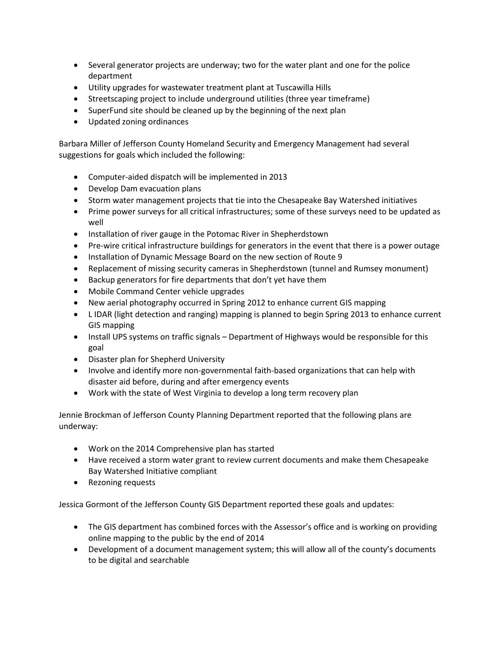- Several generator projects are underway; two for the water plant and one for the police department
- Utility upgrades for wastewater treatment plant at Tuscawilla Hills
- Streetscaping project to include underground utilities (three year timeframe)
- SuperFund site should be cleaned up by the beginning of the next plan
- Updated zoning ordinances

Barbara Miller of Jefferson County Homeland Security and Emergency Management had several suggestions for goals which included the following:

- Computer-aided dispatch will be implemented in 2013
- Develop Dam evacuation plans
- Storm water management projects that tie into the Chesapeake Bay Watershed initiatives
- Prime power surveys for all critical infrastructures; some of these surveys need to be updated as well
- Installation of river gauge in the Potomac River in Shepherdstown
- Pre-wire critical infrastructure buildings for generators in the event that there is a power outage
- Installation of Dynamic Message Board on the new section of Route 9
- Replacement of missing security cameras in Shepherdstown (tunnel and Rumsey monument)
- Backup generators for fire departments that don't yet have them
- Mobile Command Center vehicle upgrades
- New aerial photography occurred in Spring 2012 to enhance current GIS mapping
- L IDAR (light detection and ranging) mapping is planned to begin Spring 2013 to enhance current GIS mapping
- Install UPS systems on traffic signals Department of Highways would be responsible for this goal
- Disaster plan for Shepherd University
- Involve and identify more non-governmental faith-based organizations that can help with disaster aid before, during and after emergency events
- Work with the state of West Virginia to develop a long term recovery plan

Jennie Brockman of Jefferson County Planning Department reported that the following plans are underway:

- Work on the 2014 Comprehensive plan has started
- Have received a storm water grant to review current documents and make them Chesapeake Bay Watershed Initiative compliant
- Rezoning requests

Jessica Gormont of the Jefferson County GIS Department reported these goals and updates:

- The GIS department has combined forces with the Assessor's office and is working on providing online mapping to the public by the end of 2014
- Development of a document management system; this will allow all of the county's documents to be digital and searchable